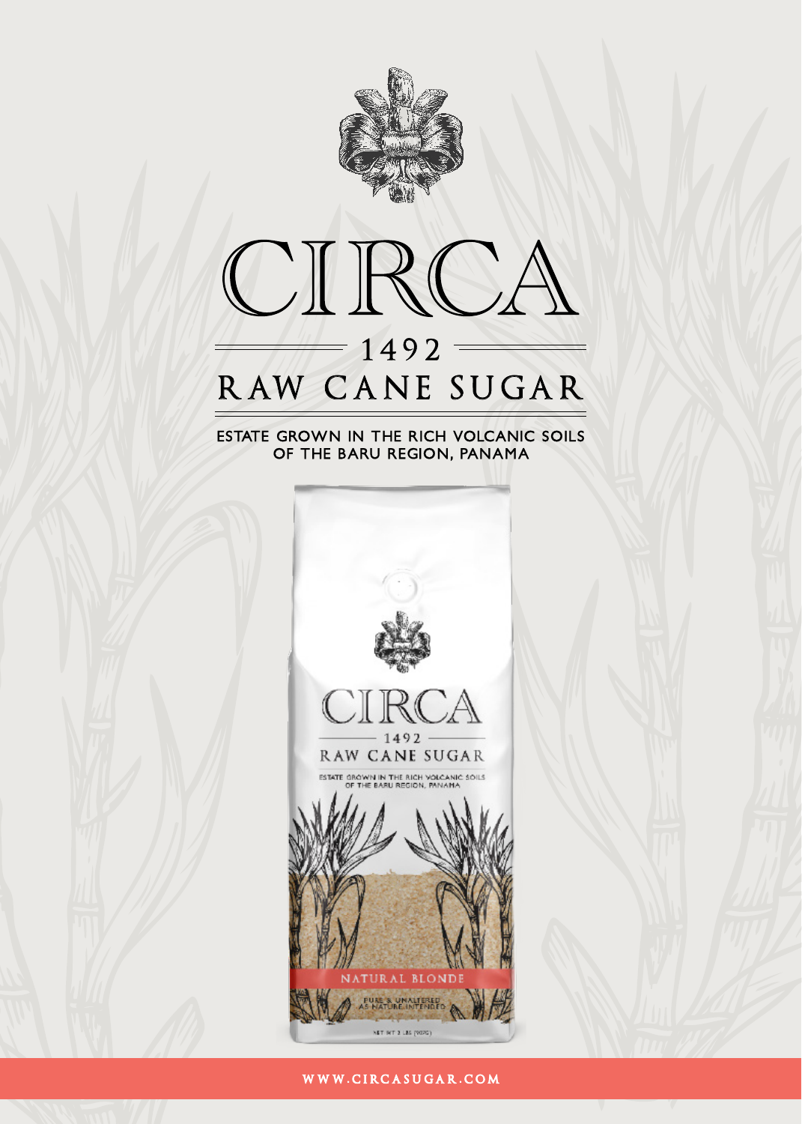



## ESTATE GROWN IN THE RICH VOLCANIC SOILS OF THE BARU REGION, PANAMA



WWW.CIRCASUGAR.COM